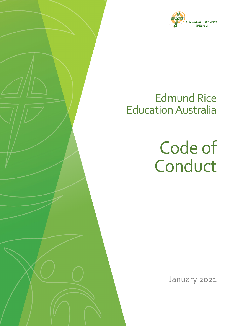

# Edmund Rice Education Australia

Code of Conduct

January 2021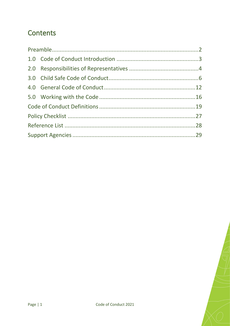# **Contents**

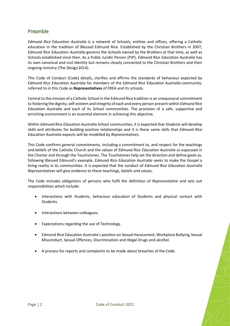# <span id="page-2-0"></span>Preamble

*Edmund Rice Education Australia* is a network of Schools, entities and offices, offering a Catholic education in the tradition of Blessed Edmund Rice. Established by the Christian Brothers in 2007, *Edmund Rice Education Australia* governs the Schools owned by the Brothers at that time, as well as Schools established since then. As a Public Juridic Person (PJP), *Edmund Rice Education Australia* has its own canonical and civil identity but remains closely connected to the Christian Brothers and their ongoing ministry (The Design2014).

This Code of Conduct (Code) details, clarifies and affirms the standards of behaviour expected by *Edmund Rice Education Australia* for members of the *Edmund Rice Education Australia* community, referred to in this Code as **Representatives** of EREA and its schools.

Central to the mission of a Catholic School in the Edmund Rice tradition is an unequivocal commitment to fostering the dignity, self-esteem and integrity of each and every person present within *Edmund Rice Education Australia* and each of its *School* communities. The provision of a safe, supportive and enriching environment is an essential element in achieving this objective.

Within *Edmund Rice Education Australia School* communities, it is expected that *Students* will develop skills and attributes for building positive relationships and it is these same skills that *Edmund Rice Education Australia* expects will be modelled by *Representatives*.

This Code confirms general commitments, including a commitment to, and respect for the teachings and beliefs of the Catholic Church and the values of *Edmund Rice Education Australia* as espoused in the Charter and through the Touchstones. The Touchstones help set the direction and define goals as, following Blessed Edmund's example, *Edmund Rice Education Australia* seeks to make the Gospel a living reality in its communities. It is expected that the conduct of *Edmund Rice Education Australia Representatives* will give evidence to these teachings, beliefs and values.

The Code includes obligations of persons who fulfil the definition of *Representative* and sets out responsibilities which include:

- Interactions with Students, behaviour education of Students and physical contact with Students.
- Interactions between colleagues.
- Expectations regarding the use of Technology.
- Edmund Rice Education Australia's position on Sexual Harassment, Workplace Bullying, Sexual Misconduct, Sexual Offences, Discrimination and Illegal Drugs and alcohol.
- A process for reports and complaints to be made about breaches of the Code.

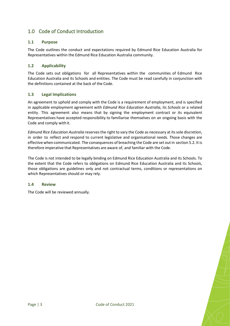# <span id="page-3-0"></span>1.0 Code of Conduct Introduction

#### **1.1 Purpose**

The Code outlines the conduct and expectations required by Edmund Rice Education Australia for Representatives within the Edmund Rice Education Australia community.

#### **1.2 Applicability**

The Code sets out obligations for all [Representatives w](https://hedgeschool.cspace.net.au/CodeofConductDefinitions)ithin the communities of [Edmund Rice](https://hedgeschool.cspace.net.au/CodeofConductDefinitions)  [Education Australia a](https://hedgeschool.cspace.net.au/CodeofConductDefinitions)nd its [Schools a](https://hedgeschool.cspace.net.au/CodeofConductDefinitions)nd entities. The Code must be read carefully in conjunction with the definitions contained at the back of the Code.

#### **1.3 Legal Implications**

An agreement to uphold and comply with the Code is a requirement of employment, and is specified in applicable employment agreement with *[Edmund Rice Education Australia](https://hedgeschool.cspace.net.au/CodeofConductDefinitions)*, its *[Schools](https://hedgeschool.cspace.net.au/CodeofConductDefinitions)* or a related entity. This agreement also means that by signing the employment contract or its equivalent Representatives have accepted responsibility to familiarise themselves on an ongoing basis with the Code and comply with it.

*[Edmund Rice Education Australia](https://hedgeschool.cspace.net.au/CodeofConductDefinitions)* reserves the right to vary the Code as necessary at its sole discretion, in order to reflect and respond to current legislative and organisational needs. Those changes are effective when communicated. The consequences of breaching the Code are set out in [section](https://hedgeschool.cspace.net.au/WorkingwiththeCode) 5.2. It is therefore imperative that Representatives are aware of, and familiar with the Code.

The Code is not intended to be legally binding on Edmund Rice Education Australia and its Schools. To the extent that the Code refers to obligations on Edmund Rice Education Australia and its Schools, those obligations are guidelines only and not contractual terms, conditions or representations on which Representatives should or may rely.

#### **1.4 Review**

The Code will be reviewed annually.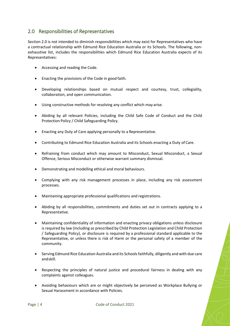## <span id="page-4-0"></span>2.0 Responsibilities of Representatives

Section 2.0 is not intended to diminish responsibilities which may exist for Representatives who have a contractual relationship with Edmund Rice Education Australia or its Schools. The following, nonexhaustive list, includes the responsibilities which Edmund Rice Education Australia expects of its Representatives:

- Accessing and reading the Code.
- Enacting the provisions of the Code in good faith.
- Developing relationships based on mutual respect and courtesy, trust, collegiality, collaboration, and open communication.
- Using constructive methods for resolving any conflict which may arise.
- Abiding by all relevant Policies, including the Child Safe Code of Conduct and the Child Protection Policy / Child Safeguarding Policy.
- Enacting any Duty of Care applying personally to a Representative.
- Contributing to Edmund Rice Education Australia and its Schools enacting a Duty of Care.
- Refraining from conduct which may amount to Misconduct, Sexual Misconduct, a Sexual Offence, Serious Misconduct or otherwise warrant summary dismissal.
- Demonstrating and modelling ethical and moral behaviours.
- Complying with any risk management processes in place, including any risk assessment processes.
- Maintaining appropriate professional qualifications and registrations.
- Abiding by all responsibilities, commitments and duties set out in contracts applying to a Representative.
- Maintaining confidentiality of information and enacting privacy obligations unless disclosure is required by law (including as prescribed by Child Protection Legislation and Child Protection / Safeguarding Policy), or disclosure is required by a professional standard applicable to the Representative, or unless there is risk of Harm or the personal safety of a member of the community.
- Serving Edmund Rice Education Australia and its Schools faithfully, diligently and with due care andskill.
- Respecting the principles of natural justice and procedural fairness in dealing with any complaints against colleagues.
- Avoiding behaviours which are or might objectively be perceived as Workplace Bullying or Sexual Harassment in accordance with Policies.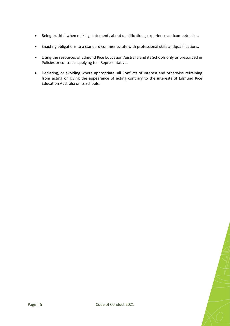- Being truthful when making statements about qualifications, experience andcompetencies.
- Enacting obligations to a standard commensurate with professional skills andqualifications.
- Using the resources of Edmund Rice Education Australia and its Schools only as prescribed in Policies or contracts applying to a Representative.
- Declaring, or avoiding where appropriate, all Conflicts of Interest and otherwise refraining from acting or giving the appearance of acting contrary to the interests of Edmund Rice Education Australia or its Schools.

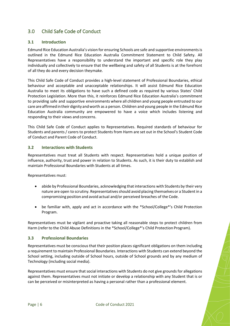# <span id="page-6-0"></span>3.0 Child Safe Code of Conduct

#### **3.1 Introduction**

Edmund Rice Education Australia's vision for ensuring Schools are safe and supportive environmentsis outlined in the Edmund Rice Education Australia Commitment Statement to Child Safety. All Representatives have a responsibility to understand the important and specific role they play individually and collectively to ensure that the wellbeing and safety of all Students is at the forefront of all they do and every decision theymake.

This Child Safe Code of Conduct provides a high-level statement of Professional Boundaries, ethical behaviour and acceptable and unacceptable relationships. It will assist Edmund Rice Education Australia to meet its obligations to have such a defined code as required by various States' Child Protection Legislation. More than this, it reinforces Edmund Rice Education Australia's commitment to providing safe and supportive environments where all children and young people entrusted to our care are affirmed intheir dignity andworth as a person. Children and young people in the Edmund Rice Education Australia community are empowered to have a voice which includes listening and responding to their views and concerns.

This Child Safe Code of Conduct applies to Representatives. Required standards of behaviour for Students and parents / carers to protect Students from Harm are set out in the School's Student Code of Conduct and Parent Code of Conduct.

#### **3.2 Interactions with Students**

Representatives must treat all Students with respect. Representatives hold a unique position of influence, authority, trust and power in relation to Students. As such, it is their duty to establish and maintain Professional Boundaries with Students at all times.

Representatives must:

- abide by Professional Boundaries, acknowledging that interactions with Students by their very nature are open to scrutiny. Representatives should avoid placing themselves or a Student in a compromising position and avoid actual and/or perceived breaches of the Code.
- be familiar with, apply and act in accordance with the \*School/College\*'s Child Protection Program.

Representatives must be vigilant and proactive taking all reasonable steps to protect children from Harm (refer to the Child Abuse Definitions in the \*School/College\*'s Child Protection Program).

#### **3.3 Professional Boundaries**

Representatives must be conscious that their position places significant obligations on them including a requirement to maintain Professional Boundaries. Interactions with Students can extend beyond the School setting, including outside of School hours, outside of School grounds and by any medium of Technology (including social media).

Representatives must ensure that social interactions with Students do not give grounds for allegations against them. Representatives must not initiate or develop a relationship with any Student that is or can be perceived or misinterpreted as having a personal rather than a professional element.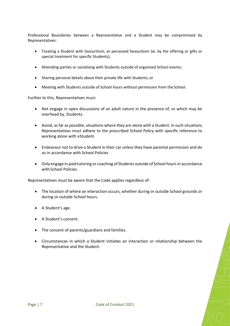Professional Boundaries between a Representative and a Student may be compromised by Representatives:

- Treating a Student with favouritism, or perceived favouritism (ie. by the offering or gifts or special treatment for specific Students);
- Attending parties or socialising with Students outside of organised School events;
- Sharing personal details about their private life with Students; or
- Meeting with Students outside of School hours without permission from the School.

Further to this, Representatives must:

- Not engage in open discussions of an adult nature in the presence of, or which may be overhead by, Students.
- Avoid, as far as possible, situations where they are alone with a Student. In such situations Representatives must adhere to the prescribed School Policy with specific reference to working alone with aStudent.
- Endeavour not to drive a Student in their car unless they have parental permission and do so in accordance with School Policies
- Only engage in paid tutoring or coaching of Students outside of School hours in accordance with School Policies.

Representatives must be aware that the Code applies regardless of:

- The location of where an interaction occurs, whether during or outside School grounds or during or outside School hours.
- A Student's age.
- A Student's consent.
- The consent of parents/guardians and families.
- Circumstances in which a Student initiates an interaction or relationship between the Representative and the Student.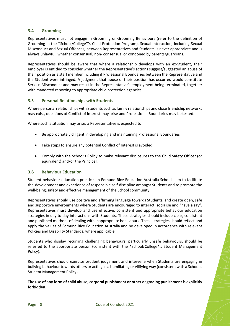#### **3.4 Grooming**

Representatives must not engage in Grooming or Grooming Behaviours (refer to the definition of Grooming in the \*School/College\*'s Child Protection Program). Sexual interaction, including Sexual Misconduct and Sexual Offences, between Representatives and Students is never appropriate and is always unlawful, whether consensual, non- consensual or condoned by parents/guardians.

Representatives should be aware that where a relationship develops with an ex-Student, their employer is entitled to consider whether the Representative's actions suggest/suggested an abuse of their position as a staff member including if Professional Boundaries between the Representative and the Student were infringed. A judgment that abuse of their position has occurred would constitute Serious Misconduct and may result in the Representative's employment being terminated, together with mandated reporting to appropriate child protection agencies.

#### **3.5 Personal Relationships with Students**

Where personal relationships with Studentssuch asfamily relationships and close friendship networks may exist, questions of Conflict of Interest may arise and Professional Boundaries may be tested.

Where such a situation may arise, a Representative is expected to:

- Be appropriately diligent in developing and maintaining Professional Boundaries
- Take steps to ensure any potential Conflict of Interest is avoided
- Comply with the School's Policy to make relevant disclosures to the Child Safety Officer (or equivalent) and/or the Principal.

#### **3.6 Behaviour Education**

Student behaviour education practices in Edmund Rice Education Australia Schools aim to facilitate the development and experience of responsible self-discipline amongst Students and to promote the well-being, safety and effective management of the School community.

Representatives should use positive and affirming language towards Students, and create open, safe and supportive environments where Students are encouraged to interact, socialise and "have a say". Representatives must develop and use effective, consistent and appropriate behaviour education strategies in day to day interactions with Students. These strategies should include clear, consistent and published methods of dealing with inappropriate behaviours. These strategies should reflect and apply the values of Edmund Rice Education Australia and be developed in accordance with relevant Policies and Disability Standards, where applicable.

Students who display recurring challenging behaviours, particularly unsafe behaviours, should be referred to the appropriate person (consistent with the \*School/College\*'s Student Management Policy).

Representatives should exercise prudent judgement and intervene when Students are engaging in bullying behaviour towards others or acting in a humiliating or vilifying way (consistent with a School's Student Management Policy).

#### **The use of any form of child abuse, corporal punishment or other degrading punishment is explicitly forbidden.**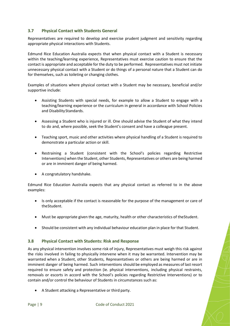#### **3.7 Physical Contact with Students General**

Representatives are required to develop and exercise prudent judgment and sensitivity regarding appropriate physical interactions with Students.

Edmund Rice Education Australia expects that when physical contact with a Student is necessary within the teaching/learning experience, Representatives must exercise caution to ensure that the contact is appropriate and acceptable for the duty to be performed. Representatives must not initiate unnecessary physical contact with a Student or do things of a personal nature that a Student can do for themselves, such as toileting or changing clothes.

Examples of situations where physical contact with a Student may be necessary, beneficial and/or supportive include:

- Assisting Students with special needs, for example to allow a Student to engage with a teaching/learning experience or the curriculum in general in accordance with School Policies and Disability Standards.
- Assessing a Student who is injured or ill. One should advise the Student of what they intend to do and, where possible, seek the Student's consent and have a colleague present.
- Teaching sport, music and other activities where physical handling of a Student is required to demonstrate a particular action or skill.
- Restraining a Student (consistent with the School's policies regarding Restrictive Interventions) when the Student, other Students, Representatives or others are being harmed or are in imminent danger of being harmed.
- A congratulatory handshake.

Edmund Rice Education Australia expects that any physical contact as referred to in the above examples:

- Is only acceptable if the contact is reasonable for the purpose of the management or care of theStudent.
- Must be appropriate given the age, maturity, health or other characteristics of theStudent.
- Should be consistent with any individual behaviour education plan in place for that Student.

#### **3.8 Physical Contact with Students: Risk and Response**

As any physical intervention involves some risk of injury, Representatives must weigh this risk against the risks involved in failing to physically intervene when it may be warranted. Intervention may be warranted when a Student, other Students, Representatives or others are being harmed or are in imminent danger of being harmed. Such interventions should be employed as measures of last resort required to ensure safety and protection (ie. physical interventions, including physical restraints, removals or escorts in accord with the School's policies regarding Restrictive Interventions) or to contain and/or control the behaviour of Students in circumstances such as:

• A Student attacking a Representative or third party.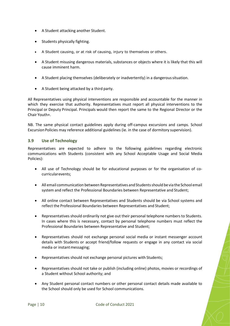- A Student attacking another Student.
- Students physically fighting.
- A Student causing, or at risk of causing, injury to themselves or others.
- A Student misusing dangerous materials, substances or objects where it is likely that this will cause imminent harm.
- A Student placing themselves (deliberately or inadvertently) in a dangeroussituation.
- A Student being attacked by a third party.

All Representatives using physical interventions are responsible and accountable for the manner in which they exercise that authority. Representatives must report all physical interventions to the Principal or Deputy Principal. Principals would then report the same to the Regional Director or the Chair Youth+.

NB. The same physical contact guidelines apply during off-campus excursions and camps. School Excursion Policies may reference additional guidelines (ie. in the case of dormitory supervision).

#### **3.9 Use of Technology**

Representatives are expected to adhere to the following guidelines regarding electronic communications with Students (consistent with any School Acceptable Usage and Social Media Policies):

- All use of Technology should be for educational purposes or for the organisation of cocurricularevents;
- All email communication between Representatives and Students should be via the School email system and reflect the Professional Boundaries between Representative and Student;
- All online contact between Representatives and Students should be via School systems and reflect the Professional Boundaries between Representatives and Student;
- Representatives should ordinarily not give out their personal telephone numbers to Students. In cases where this is necessary, contact by personal telephone numbers must reflect the Professional Boundaries between Representative and Student;
- Representatives should not exchange personal social media or instant messenger account details with Students or accept friend/follow requests or engage in any contact via social media or instant messaging;
- Representatives should not exchange personal pictures with Students;
- Representatives should not take or publish (including online) photos, movies or recordings of a Student without School authority; and
- Any Student personal contact numbers or other personal contact details made available to the School should only be used for School communications.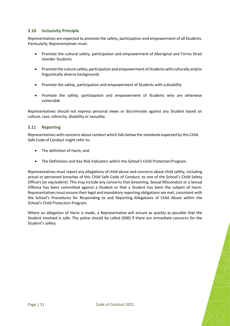#### **3.10 Inclusivity Principle**

Representatives are expected to promote the safety, participation and empowerment of all Students. Particularly, Representatives must:

- Promote the cultural safety, participation and empowerment of Aboriginal and Torres Strait Islander Students
- Promote the culture safety,participation and empowerment of Studentswith culturally and/or linguistically diverse backgrounds
- Promote the safety, participation and empowerment of Students with a disability
- Promote the safety, participation and empowerment of Students who are otherwise vulnerable

Representatives should not express personal views or discriminate against any Student based on culture, race, ethnicity, disability or sexuality.

#### **3.11 Reporting**

Representatives with concerns about conduct which falls below the standards expected by this Child Safe Code of Conduct might refer to:

- The definition of Harm; and
- The Definitions and Key Risk Indicators within the School's Child Protection Program.

Representatives must report any allegations of child abuse and concerns about child safety, including actual or perceived breaches of this Child Safe Code of Conduct, to one of the School's Child Safety Officers (or equivalent). This may include any concerns that Grooming, Sexual Misconduct or a Sexual Offence has been committed against a Student or that a Student has been the subject of Harm. Representatives must ensure their legal and mandatory reporting obligations are met, consistent with the School's Procedures for Responding to and Reporting Allegations of Child Abuse within the School's Child Protection Program.

Where an allegation of Harm is made, a Representative will ensure as quickly as possible that the Student involved is safe. The police should be called (000) if there are immediate concerns for the Student's safety.

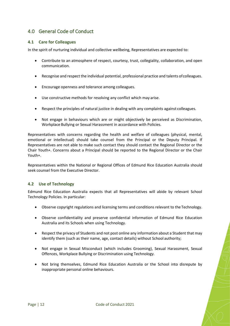# <span id="page-12-0"></span>4.0 General Code of Conduct

#### **4.1 Care for Colleagues**

In the spirit of nurturing individual and collective wellbeing, Representatives are expected to:

- Contribute to an atmosphere of respect, courtesy, trust, collegiality, collaboration, and open communication.
- Recognise and respect the individual potential, professional practice and talents ofcolleagues.
- Encourage openness and tolerance among colleagues.
- Use constructive methods for resolving any conflict which may arise.
- Respect the principles of natural justice in dealing with any complaints against colleagues.
- Not engage in behaviours which are or might objectively be perceived as Discrimination, Workplace Bullying or Sexual Harassment in accordance with Policies.

Representatives with concerns regarding the health and welfare of colleagues (physical, mental, emotional or intellectual) should take counsel from the Principal or the Deputy Principal. If Representatives are not able to make such contact they should contact the Regional Director or the Chair Youth+. Concerns about a Principal should be reported to the Regional Director or the Chair Youth+.

Representatives within the National or Regional Offices of Edmund Rice Education Australia should seek counsel from the Executive Director.

#### **4.2 Use of Technology**

Edmund Rice Education Australia expects that all Representatives will abide by relevant School Technology Policies. In particular:

- Observe copyright regulations and licensing terms and conditions relevant to the Technology.
- Observe confidentiality and preserve confidential information of Edmund Rice Education Australia and its Schools when using Technology.
- Respect the privacy of Students and not post online any information about a Student that may identify them (such as their name, age, contact details) without School authority;
- Not engage in Sexual Misconduct (which includes Grooming), Sexual Harassment, Sexual Offences, Workplace Bullying or Discrimination using Technology.
- Not bring themselves, Edmund Rice Education Australia or the School into disrepute by inappropriate personal online behaviours.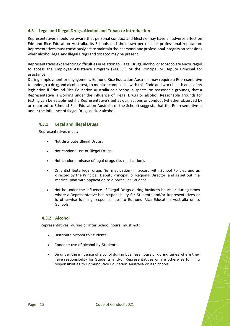#### **4.3 Legal and Illegal Drugs, Alcohol and Tobacco: Introduction**

Representatives should be aware that personal conduct and lifestyle may have an adverse effect on Edmund Rice Education Australia, its Schools and their own personal or professional reputation. Representatives must consciously act to maintain their personal and professional integrity on occasions when alcohol, legal and Illegal Drugs and tobacco may be present.

Representatives experiencing difficulties in relation to Illegal Drugs, alcohol or tobacco are encouraged to access the Employee Assistance Program (ACCESS) or the Principal or Deputy Principal for assistance.

During employment or engagement, Edmund Rice Education Australia may require a Representative to undergo a drug and alcohol test, to monitor compliance with this Code and work health and safety legislation if Edmund Rice Education Australia or a School suspects, on reasonable grounds, that a Representative is working under the influence of Illegal Drugs or alcohol. Reasonable grounds for testing can be established if a Representative's behaviour, actions or conduct (whether observed by or reported to Edmund Rice Education Australia or the School) suggests that the Representative is under the influence of Illegal Drugs and/or alcohol.

#### **4.3.1 Legal and Illegal Drugs**

Representatives must:

- Not distribute Illegal Drugs.
- Not condone use of Illegal Drugs.
- Not condone misuse of legal drugs (ie. medication).
- Only distribute legal drugs (ie. medication) in accord with School Policies and as directed by the Principal, Deputy Principal, or Regional Director, and as set out in a medical plan with application to a particular Student.
- Not be under the influence of Illegal Drugs during business hours or during times where a Representative has responsibility for Students and/or Representatives or is otherwise fulfilling responsibilities to Edmund Rice Education Australia or its Schools.

#### **4.3.2 Alcohol**

Representatives, during or after School hours, must not:

- Distribute alcohol to Students.
- Condone use of alcohol by Students.
- Be under the influence of alcohol during business hours or during times where they have responsibility for Students and/or Representatives or are otherwise fulfilling responsibilities to Edmund Rice Education Australia or its Schools.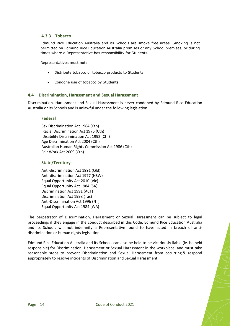#### **4.3.3 Tobacco**

Edmund Rice Education Australia and its Schools are smoke free areas. Smoking is not permitted on Edmund Rice Education Australia premises or any School premises, or during times where a Representative has responsibility for Students.

Representatives must not:

- Distribute tobacco or tobacco products to Students.
- Condone use of tobacco by Students.

#### **4.4 Discrimination, Harassment and Sexual Harassment**

Discrimination, Harassment and Sexual Harassment is never condoned by Edmund Rice Education Australia or its Schools and is unlawful under the following legislation:

#### **Federal**

Sex Discrimination Act 1984 (Cth) Racial Discrimination Act 1975 (Cth) Disability Discrimination Act 1992 (Cth) Age Discrimination Act 2004 (Cth) Australian Human Rights Commission Act 1986 (Cth) Fair Work Act 2009 (Cth)

#### **State/Territory**

```
Anti-discrimination Act 1991 (Qld) 
Anti-discrimination Act 1977 (NSW) 
Equal Opportunity Act 2010 (Vic) 
Equal Opportunity Act 1984 (SA) 
Discrimination Act 1991 (ACT) 
Discrimination Act 1998 (Tas)
Anti-Discrimination Act 1996 (NT) 
Equal Opportunity Act 1984 (WA)
```
The perpetrator of Discrimination, Harassment or Sexual Harassment can be subject to legal proceedings if they engage in the conduct described in this Code. Edmund Rice Education Australia and its Schools will not indemnify a Representative found to have acted in breach of antidiscrimination or human rights legislation.

Edmund Rice Education Australia and its Schools can also be held to be vicariously liable (ie. be held responsible) for Discrimination, Harassment or Sexual Harassment in the workplace, and must take reasonable steps to prevent Discrimination and Sexual Harassment from occurring,& respond appropriately to resolve incidents of Discrimination and Sexual Harassment.

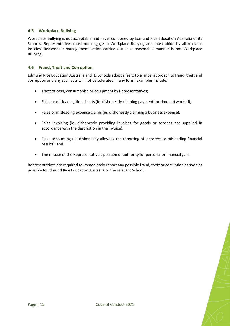#### **4.5 Workplace Bullying**

Workplace Bullying is not acceptable and never condoned by Edmund Rice Education Australia or its Schools. Representatives must not engage in Workplace Bullying and must abide by all relevant Policies. Reasonable management action carried out in a reasonable manner is not Workplace Bullying.

#### **4.6 Fraud, Theft and Corruption**

Edmund Rice Education Australia and its Schools adopt a 'zero tolerance' approach to fraud, theft and corruption and any such acts will not be tolerated in any form. Examples include:

- Theft of cash, consumables or equipment by Representatives;
- False or misleading timesheets (ie. dishonestly claiming payment for time not worked);
- False or misleading expense claims (ie. dishonestly claiming a business expense);
- False invoicing (ie. dishonestly providing invoices for goods or services not supplied in accordance with the description in the invoice);
- False accounting (ie. dishonestly allowing the reporting of incorrect or misleading financial results); and
- The misuse of the Representative's position or authority for personal or financial gain.

Representatives are required to immediately report any possible fraud, theft or corruption as soon as possible to Edmund Rice Education Australia or the relevant School.

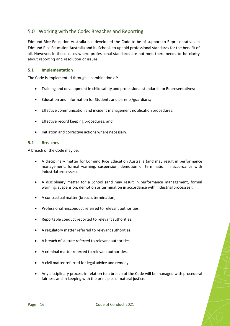# <span id="page-16-0"></span>5.0 Working with the Code: Breaches and Reporting

Edmund Rice Education Australia has developed the Code to be of support to Representatives in Edmund Rice Education Australia and its Schools to uphold professional standards for the benefit of all. However, in those cases where professional standards are not met, there needs to be clarity about reporting and resolution of issues.

#### **5.1 Implementation**

The Code is implemented through a combination of:

- Training and development in child safety and professional standards for Representatives;
- Education and information for Students and parents/guardians;
- Effective communication and incident management notification procedures;
- Effective record keeping procedures; and
- Initiation and corrective actions where necessary.

#### **5.2 Breaches**

A breach of the Code may be:

- A disciplinary matter for Edmund Rice Education Australia (and may result in performance management, formal warning, suspension, demotion or termination in accordance with industrial processes).
- A disciplinary matter for a School (and may result in performance management, formal warning, suspension, demotion or termination in accordance with industrial processes).
- A contractual matter (breach, termination).
- Professional misconduct referred to relevant authorities.
- Reportable conduct reported to relevantauthorities.
- A regulatory matter referred to relevant authorities.
- A breach of statute referred to relevant authorities.
- A criminal matter referred to relevant authorities.
- A civil matter referred for legal advice and remedy.
- Any disciplinary process in relation to a breach of the Code will be managed with procedural fairness and in keeping with the principles of natural justice.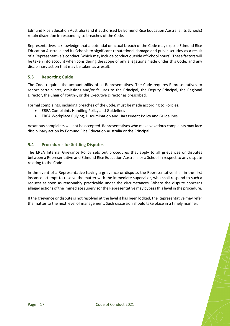Edmund Rice Education Australia (and if authorised by Edmund Rice Education Australia, its Schools) retain discretion in responding to breaches of the Code.

Representatives acknowledge that a potential or actual breach of the Code may expose Edmund Rice Education Australia and its Schools to significant reputational damage and public scrutiny as a result of a Representative's conduct (which may include conduct outside of School hours). These factors will be taken into account when considering the scope of any allegations made under this Code, and any disciplinary action that may be taken as aresult.

#### **5.3 Reporting Guide**

The Code requires the accountability of all Representatives. The Code requires Representatives to report certain acts, omissions and/or failures to the Principal, the Deputy Principal, the Regional Director, the Chair of Youth+, or the Executive Director as prescribed.

Formal complaints, including breaches of the Code, must be made according to Policies;

- EREA Complaints Handling Policy and Guidelines
- EREA Workplace Bulying, Discrimination and Harassment Policy and Guidelines

Vexatious complaints will not be accepted. Representatives who make vexatious complaints may face disciplinary action by Edmund Rice Education Australia or the Principal.

#### **5.4 Procedures for Settling Disputes**

The EREA Internal Grievance Policy sets out procedures that apply to all grievances or disputes between a Representative and Edmund Rice Education Australia or a School in respect to any dispute relating to the Code.

In the event of a Representative having a grievance or dispute, the Representative shall in the first instance attempt to resolve the matter with the immediate supervisor, who shall respond to such a request as soon as reasonably practicable under the circumstances. Where the dispute concerns alleged actions of the immediate supervisor the Representative may bypass this level in the procedure.

If the grievance or dispute is not resolved at the level it has been lodged, the Representative may refer the matter to the next level of management. Such discussion should take place in a timely manner.

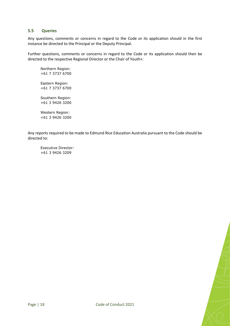#### **5.5 Queries**

Any questions, comments or concerns in regard to the Code or its application should in the first instance be directed to the Principal or the Deputy Principal.

Further questions, comments or concerns in regard to the Code or its application should then be directed to the respective Regional Director or the Chair of Youth+:

Northern Region: +61 7 3737 6700 Eastern Region: +61 7 3737 6700 Southern Region: +61 3 9426 3200

Western Region: +61 3 9426 3200

Any reports required to be made to Edmund Rice Education Australia pursuant to the Code should be directed to:

Executive Director: +61 3 9426 3209

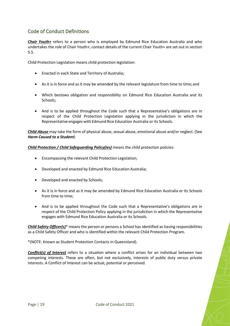# <span id="page-19-0"></span>Code of Conduct Definitions

*Chair Youth+* refers to a person who is employed by Edmund Rice Education Australia and who undertakes the role of Chair Youth+; contact details of the current Chair Youth+ are set out in section 5.5.

Child Protection Legislation means child protection legislation:

- Enacted in each State and Territory of Australia;
- As it is in force and as it may be amended by the relevant legislature from time to time;and
- Which bestows obligation and responsibility on Edmund Rice Education Australia and its Schools;
- And is to be applied throughout the Code such that a Representative's obligations are in respect of the Child Protection Legislation applying in the jurisdiction in which the Representative engages with Edmund Rice Education Australia or its Schools.

*Child Abuse* may take the form of physical abuse, sexual abuse, emotional abuse and/or neglect. (See *Harm Caused to a Student*)

*Child Protection / Child Safeguarding Policy(ies)* means the child protection policies:

- Encompassing the relevant Child Protection Legislation;
- Developed and enacted by Edmund Rice Education Australia;
- Developed and enacted by Schools;
- As it is in force and as it may be amended by Edmund Rice Education Australia or its Schools from time to time;
- And is to be applied throughout the Code such that a Representative's obligations are in respect of the Child Protection Policy applying in the jurisdiction in which the Representative engages with Edmund Rice Education Australia or its Schools.

*Child Safety Officer(s)*\* means the person or persons a School has identified as having responsibilities as a Child Safety Officer and who is identified within the relevant Child Protection Program.

\*(NOTE: Known as Student Protection Contacts in Queensland).

*Conflict(s) of Interest* refers to a situation where a conflict arises for an individual between two competing interests. These are often, but not exclusively, interests of public duty versus private interests. A Conflict of Interest can be actual, potential or perceived.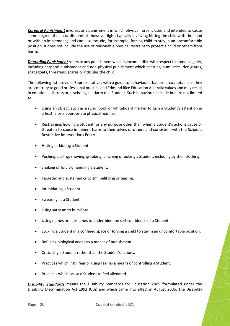*Corporal Punishment* involves any punishment in which physical force is used and intended to cause some degree of pain or discomfort, however light; typically involving hitting the child with the hand or with an implement ; and can also include, for example, forcing child to stay in an uncomfortable position. It does not include the use of reasonable physical restraint to protect a child or others from harm.

*Degrading Punishment*refers to any punishment which is incompatible with respect to human dignity, including corporal punishment and non-physical punishment which belittles, humiliates, denigrates, scapegoats, threatens, scares or ridicules the child.

The following list provides Representatives with a guide to behaviours that are unacceptable as they are contrary to good professional practice and Edmund Rice Education Australia values and may result in emotional distress or psychological Harm to a Student. Such behaviours include but are not limited to:

- Using an object, such as a ruler, book or whiteboard marker to gain a Student's attention in a hostile or inappropriate physical manner.
- Restraining/holding a Student for any purpose other than when a Student's actions cause or threaten to cause imminent harm to themselves or others and consistent with the School's Restrictive Interventions Policy.
- Hitting or kicking a Student.
- Pushing, pulling, shoving, grabbing, pinching or poking a Student, including by their clothing.
- Shaking or forcibly handling a Student.
- Targeted and sustained criticism, belittling or teasing.
- Intimidating a Student.
- Swearing at a Student.
- Using sarcasm to humiliate.
- Using names or nicknames to undermine the self-confidence of a Student.
- Locking a Student in a confined space or forcing a child to stay in an uncomfortable position.
- Refusing biological needs as a means of punishment.
- Criticising a Student rather than the Student's actions.
- Practices which instil fear or using fear as a means of controlling a Student.
- Practices which cause a Student to feel alienated.

*Disability Standards* means the Disability Standards for Education 2005 formulated under the Disability Discrimination Act 1992 (Cth) and which came into effect in August 2005. The Disability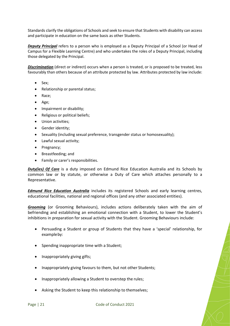Standards clarify the obligations of Schools and seek to ensure that Students with disability can access and participate in education on the same basis as other Students.

*Deputy Principal* refers to a person who is employed as a Deputy Principal of a School (or Head of Campus for a Flexible Learning Centre) and who undertakes the roles of a Deputy Principal, including those delegated by the Principal.

*Discrimination* (direct or indirect) occurs when a person is treated, or is proposed to be treated, less favourably than others because of an attribute protected by law. Attributes protected by law include:

- Sex;
- Relationship or parental status;
- Race;
- Age;
- Impairment or disability;
- Religious or political beliefs:
- Union activities;
- Gender identity;
- Sexuality (including sexual preference, transgender status or homosexuality);
- Lawful sexual activity;
- Pregnancy;
- Breastfeeding; and
- Family or carer's responsibilities.

*Duty(ies) Of Care* is a duty imposed on Edmund Rice Education Australia and its Schools by common law or by statute, or otherwise a Duty of Care which attaches personally to a Representative.

*Edmund Rice Education Australia* includes its registered Schools and early learning centres, educational facilities, national and regional offices (and any other associated entities).

*Grooming* (or Grooming Behaviours), includes actions deliberately taken with the aim of befriending and establishing an emotional connection with a Student, to lower the Student's inhibitions in preparation for sexual activity with the Student. Grooming Behaviours include:

- Persuading a Student or group of Students that they have a 'special' relationship, for exampleby:
- Spending inappropriate time with a Student;
- Inappropriately giving gifts;
- Inappropriately giving favours to them, but not other Students;
- Inappropriately allowing a Student to overstep the rules;
- Asking the Student to keep this relationship to themselves;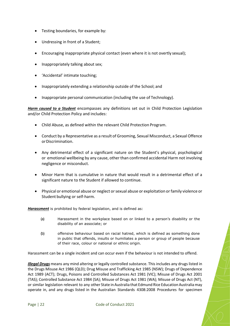- Testing boundaries, for example by:
- Undressing in front of a Student;
- Encouraging inappropriate physical contact (even where it is not overtly sexual);
- Inappropriately talking about sex;
- 'Accidental' intimate touching;
- Inappropriately extending a relationship outside of the School; and
- Inappropriate personal communication (including the use of Technology).

*Harm caused to a Student* encompasses any definitions set out in Child Protection Legislation and/or Child Protection Policy and includes:

- Child Abuse, as defined within the relevant Child Protection Program.
- Conduct by a Representative as a result of Grooming, Sexual Misconduct, a Sexual Offence or Discrimination.
- Any detrimental effect of a significant nature on the Student's physical, psychological or emotional wellbeing by any cause, other than confirmed accidental Harm not involving negligence or misconduct.
- Minor Harm that is cumulative in nature that would result in a detrimental effect of a significant nature to the Student if allowed to continue.
- Physical or emotional abuse or neglect or sexual abuse or exploitation or family violence or Student bullying or self-harm.

*Harassment* is prohibited by federal legislation, and is defined as:

- (a) Harassment in the workplace based on or linked to a person's disability or the disability of an associate; or
- (b) offensive behaviour based on racial hatred, which is defined as something done in public that offends, insults or humiliates a person or group of people because of their race, colour or national or ethnic origin.

Harassment can be a single incident and can occur even if the behaviour is not intended to offend.

*Illegal Drugs* means any mind altering or legally controlled substance. This includes any drugs listed in the Drugs Misuse Act 1986 (QLD); Drug Misuse and Trafficking Act 1985 (NSW); Drugs of Dependence Act 1989 (ACT); Drugs, Poisons and Controlled Substances Act 1981 (VIC); Misuse of Drugs Act 2001 (TAS); Controlled Substance Act 1984 (SA); Misuse of Drugs Act 1981 (WA); Misuse of Drugs Act (NT), or similar legislation relevant to any other State in Australia that Edmund Rice Education Australia may operate in, and any drugs listed in the Australian Standards 4308:2008 Procedures for specimen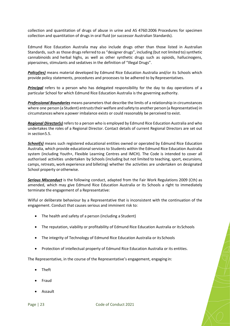collection and quantitation of drugs of abuse in urine and AS 4760:2006 Procedures for specimen collection and quantitation of drugs in oral fluid (or successor Australian Standards).

Edmund Rice Education Australia may also include drugs other than those listed in Australian Standards, such as those drugs referred to as "designer drugs", including (but not limited to) synthetic cannabinoids and herbal highs, as well as other synthetic drugs such as opioids, hallucinogens, piperazines, stimulants and sedatives in the definition of "Illegal Drugs".

*Policy(ies)* means material developed by Edmund Rice Education Australia and/or its Schools which provide policy statements, procedures and processes to be adhered to by Representatives.

*Principal* refers to a person who has delegated responsibility for the day to day operations of a particular School for which Edmund Rice Education Australia is the governing authority.

*Professional Boundaries* means parameters that describe the limits of a relationship in circumstances where one person (a Student) entrusts their welfare and safety to another person (a Representative) in circumstances where a power imbalance exists or could reasonably be perceived to exist.

*Regional Director(s)* refers to a person who is employed by Edmund Rice Education Australia and who undertakes the roles of a Regional Director. Contact details of current Regional Directors are set out in section5.5.

*School(s)* means such registered educational entities owned or operated by Edmund Rice Education Australia, which provide educational services to Students within the Edmund Rice Education Australia system (including Youth+, Flexible Learning Centres and IMCH). The Code is intended to cover all authorised activities undertaken by Schools (including but not limited to teaching, sport, excursions, camps, retreats, work experience and billeting) whether the activities are undertaken on designated School property or otherwise.

**Serious Misconduct** is the following conduct, adapted from the Fair Work Regulations 2009 (Cth) as amended, which may give Edmund Rice Education Australia or its Schools a right to immediately terminate the engagement of a Representative:

Wilful or deliberate behaviour by a Representative that is inconsistent with the continuation of the engagement. Conduct that causes serious and imminent risk to:

- The health and safety of a person (including a Student)
- The reputation, viability or profitability of Edmund Rice Education Australia or itsSchools
- The integrity of Technology of Edmund Rice Education Australia or its Schools
- Protection of intellectual property of Edmund Rice Education Australia or its entities.

The Representative, in the course of the Representative's engagement, engaging in:

- Theft
- Fraud
- Assault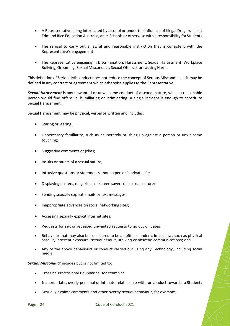- A Representative being intoxicated by alcohol or under the influence of Illegal Drugs while at Edmund Rice Education Australia, at its Schools or otherwise with a responsibility forStudents
- The refusal to carry out a lawful and reasonable instruction that is consistent with the Representative's engagement
- The Representative engaging in Discrimination, Harassment, Sexual Harassment, Workplace Bullying, Grooming, Sexual Misconduct, Sexual Offence, or causing Harm.

This definition of Serious Misconduct does not reduce the concept of Serious Misconduct as it may be defined in any contract or agreement which otherwise applies to the Representative.

*Sexual Harassment* is any unwanted or unwelcome conduct of a sexual nature, which a reasonable person would find offensive, humiliating or intimidating. A single incident is enough to constitute Sexual Harassment.

Sexual Harassment may be physical, verbal or written and includes:

- Staring or leering;
- Unnecessary familiarity, such as deliberately brushing up against a person or unwelcome touching;
- Suggestive comments or jokes;
- Insults or taunts of a sexual nature;
- Intrusive questions or statements about a person's private life;
- Displaying posters, magazines or screen savers of a sexual nature;
- Sending sexually explicit emails or text messages;
- Inappropriate advances on social networking sites;
- Accessing sexually explicit internet sites;
- Requests for sex or repeated unwanted requests to go out on dates;
- Behaviour that may also be considered to be an offence under criminal law, such as physical assault, indecent exposure, sexual assault, stalking or obscene communications; and
- Any of the above behaviours or conduct carried out using any Technology, including social media.

*Sexual Misconduct* incudes but is not limited to:

- Crossing Professional Boundaries, for example:
- Inappropriate, overly personal or intimate relationship with, or conduct towards, a Student:
- Sexually explicit comments and other overtly sexual behaviour, for example: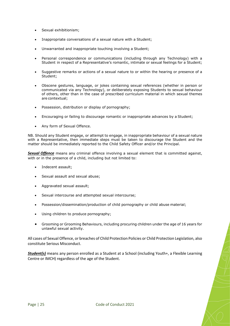- Sexual exhibitionism;
- Inappropriate conversations of a sexual nature with a Student;
- Unwarranted and inappropriate touching involving a Student;
- Personal correspondence or communications (including through any Technology) with a Student in respect of a Representative's romantic, intimate or sexual feelings for a Student;
- Suggestive remarks or actions of a sexual nature to or within the hearing or presence of a Student;
- Obscene gestures, language, or jokes containing sexual references (whether in person or communicated via any Technology), or deliberately exposing Students to sexual behaviour of others, other than in the case of prescribed curriculum material in which sexual themes are contextual;
- Possession, distribution or display of pornography;
- Encouraging or failing to discourage romantic or inappropriate advances by a Student;
- Any form of Sexual Offence.

NB. Should any Student engage, or attempt to engage, in inappropriate behaviour of a sexual nature with a Representative, then immediate steps must be taken to discourage the Student and the matter should be immediately reported to the Child Safety Officer and/or the Principal.

**Sexual Offence** means any criminal offence involving a sexual element that is committed against, with or in the presence of a child, including but not limited to:

- Indecent assault;
- Sexual assault and sexual abuse;
- Aggravated sexual assault;
- Sexual intercourse and attempted sexual intercourse;
- Possession/dissemination/production of child pornography or child abuse material;
- Using children to produce pornography;
- Grooming or Grooming Behaviours, including procuring children under the age of 16 years for unlawful sexual activity.

All cases of Sexual Offence, or breaches of Child Protection Policies or Child Protection Legislation, also constitute Serious Misconduct.

**Student(s)** means any person enrolled as a Student at a School (including Youth+, a Flexible Learning Centre or IMCH) regardless of the age of the Student.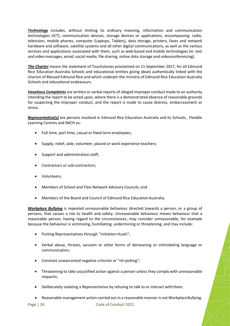*Technology* includes, without limiting its ordinary meaning, information and communication technologies (ICT), communication devices, storage devices or applications, encompassing: radio, television, mobile phones, computer (Laptops, Tablets), data storage, printers, faxes and network hardware and software, satellite systems and all other digital communications, as well as the various services and applications associated with them, such as web-based and mobile technologies (ie. text and video messages, email, social media, file sharing, online data storage and videoconferencing).

*The Charter* means the statement of Touchstones proclaimed on 11 September 2017, for all Edmund Rice Education Australia Schools and educational entities giving ideals authentically linked with the charism of Blessed Edmund Rice and which underpin the ministry of Edmund Rice Education Australia Schools and educational endeavours.

*Vexatious Complaints* are written or verbal reports of alleged improper conduct made to an authority intending the report to be acted upon, where there is a demonstrated absence of reasonable grounds for suspecting the improper conduct, and the report is made to cause distress, embarrassment or stress.

*Representative(s)* are persons involved in Edmund Rice Education Australia and its Schools, Flexible Learning Centres and IMCH as:

- Full time, part time, casual or fixed term employees;
- Supply, relief, aide, volunteer, placed or work experience teachers;
- Support and administration staff;
- Contractors or sub-contractors;
- Volunteers;
- Members of School and Flexi Network Advisory Councils; and
- Members of the Board and Council of Edmund Rice Education Australia.

*Workplace Bullying* is repeated unreasonable behaviour directed towards a person, or a group of persons, that causes a risk to health and safety. Unreasonable behaviour means behaviour that a reasonable person, having regard to the circumstances, may consider unreasonable, for example because the behaviour is victimising, humiliating, undermining or threatening, and may include:

- Putting Representatives through "initiation rituals";
- Verbal abuse, threats, sarcasm or other forms of demeaning or intimidating language or communication;
- Constant unwarranted negative criticism or "nit-picking";
- Threatening to take unjustified action against a person unless they comply with unreasonable requests;
- Deliberately isolating a Representative by refusing to talk to or interact with them.
- Reasonable management action carried out in a reasonable manner is not Workplace Bullying.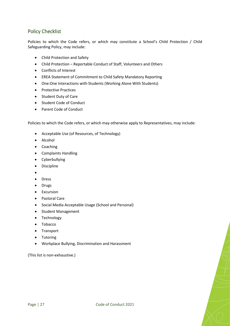# <span id="page-27-0"></span>Policy Checklist

Policies to which the Code refers, or which may constitute a School's Child Protection / Child Safeguarding Policy, may include:

- Child Protection and Safety
- Child Protection Reportable Conduct of Staff, Volunteers and Others
- Conflicts of Interest
- EREA Statement of Commitment to Child Safety Mandatory Reporting
- One:One Interactions with Students (Working Alone With Students)
- Protective Practices
- Student Duty of Care
- Student Code of Conduct
- Parent Code of Conduct

Policies to which the Code refers, or which may otherwise apply to Representatives, may include:

- Acceptable Use (of Resources, of Technology)
- Alcohol
- Coaching
- Complaints Handling
- Cyberbullying
- Discipline
- •
- Dress
- Drugs
- Excursion
- Pastoral Care
- Social Media Acceptable Usage (School and Personal)
- Student Management
- Technology
- Tobacco
- Transport
- Tutoring
- Workplace Bullying, Discrimination and Harassment

(This list is non-exhaustive.)

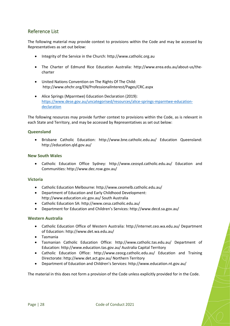# <span id="page-28-0"></span>Reference List

The following material may provide context to provisions within the Code and may be accessed by Representatives as set out below:

- Integrity of the Service in the Church: [http://www.catholic.org.au](http://www.catholic.org.au/)
- The Charter of Edmund Rice Education Australia: [http://www.erea.edu.au/about-us/the](http://www.erea.edu.au/about-us/the-charter)[charter](http://www.erea.edu.au/about-us/the-charter)
- United Nations Convention on The Rights Of The Child: <http://www.ohchr.org/EN/ProfessionalInterest/Pages/CRC.aspx>
- Alice Springs (Mparntwe) Education Declaration (2019): [https://www.dese.gov.au/uncategorised/resources/alice-springs-mparntwe-education](https://www.dese.gov.au/uncategorised/resources/alice-springs-mparntwe-education-declaration)[declaration](https://www.dese.gov.au/uncategorised/resources/alice-springs-mparntwe-education-declaration)

The following resources may provide further context to provisions within the Code, as is relevant in each State and Territory, and may be accessed by Representatives as set out below:

#### **Queensland**

• Brisbane Catholic Education: <http://www.bne.catholic.edu.au/> Education Queensland: <http://education.qld.gov.au/>

#### **New South Wales**

• Catholic Education Office Sydney: <http://www.ceosyd.catholic.edu.au/> Education and Communities[: http://www.dec.nsw.gov.au/](http://www.dec.nsw.gov.au/)

#### **Victoria**

- Catholic Education Melbourne:<http://www.ceomelb.catholic.edu.au/>
- Department of Education and Early Childhood Development: <http://www.education.vic.gov.au/> South Australia
- Catholic Education SA[: http://www.cesa.catholic.edu.au/](http://www.cesa.catholic.edu.au/)
- Department for Education and Children's Services[: http://www.decd.sa.gov.au/](http://www.decd.sa.gov.au/)

#### **Western Australia**

- Catholic Education Office of Western Australia:<http://internet.ceo.wa.edu.au/> Department of Education[: http://www.det.wa.edu.au/](http://www.det.wa.edu.au/)
- Tasmania
- Tasmanian Catholic Education Office: <http://www.catholic.tas.edu.au/> Department of Education:<http://www.education.tas.gov.au/> Australia Capital Territory
- Catholic Education Office: <http://www.ceocg.catholic.edu.au/> Education and Training Directorate[: http://www.det.act.gov.au/](http://www.det.act.gov.au/) Northern Territory
- Department of Education and Children's Services:<http://www.education.nt.gov.au/>

The material in this does not form a provision of the Code unless explicitly provided for in the Code.